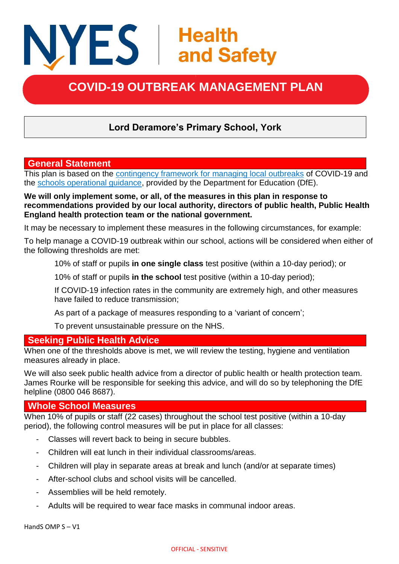# NYES | Health<br>
and Safety

# **COVID-19 OUTBREAK MANAGEMENT PLAN**

# **Lord Deramore's Primary School, York**

# **General Statement**

This plan is based on the [contingency framework for managing local outbreaks](https://www.gov.uk/government/publications/coronavirus-covid-19-local-restrictions-in-education-and-childcare-settings) of COVID-19 and the [schools operational guidance,](https://www.gov.uk/government/publications/actions-for-schools-during-the-coronavirus-outbreak) provided by the Department for Education (DfE).

#### **We will only implement some, or all, of the measures in this plan in response to recommendations provided by our local authority, directors of public health, Public Health England health protection team or the national government.**

It may be necessary to implement these measures in the following circumstances, for example:

To help manage a COVID-19 outbreak within our school, actions will be considered when either of the following thresholds are met:

10% of staff or pupils **in one single class** test positive (within a 10-day period); or

10% of staff or pupils **in the school** test positive (within a 10-day period);

If COVID-19 infection rates in the community are extremely high, and other measures have failed to reduce transmission;

As part of a package of measures responding to a 'variant of concern';

To prevent unsustainable pressure on the NHS.

# **Seeking Public Health Advice**

When one of the thresholds above is met, we will review the testing, hygiene and ventilation measures already in place.

We will also seek public health advice from a director of public health or health protection team. James Rourke will be responsible for seeking this advice, and will do so by telephoning the DfE helpline (0800 046 8687).

### **Whole School Measures**

When 10% of pupils or staff (22 cases) throughout the school test positive (within a 10-day period), the following control measures will be put in place for all classes:

- Classes will revert back to being in secure bubbles.
- Children will eat lunch in their individual classrooms/areas.
- Children will play in separate areas at break and lunch (and/or at separate times)
- After-school clubs and school visits will be cancelled.
- Assemblies will be held remotely.
- Adults will be required to wear face masks in communal indoor areas.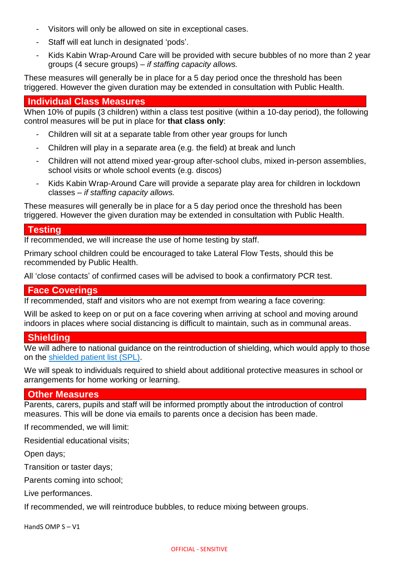- Visitors will only be allowed on site in exceptional cases.
- Staff will eat lunch in designated 'pods'.
- Kids Kabin Wrap-Around Care will be provided with secure bubbles of no more than 2 year groups (4 secure groups) – *if staffing capacity allows.*

These measures will generally be in place for a 5 day period once the threshold has been triggered. However the given duration may be extended in consultation with Public Health.

# **Individual Class Measures**

When 10% of pupils (3 children) within a class test positive (within a 10-day period), the following control measures will be put in place for **that class only**:

- Children will sit at a separate table from other year groups for lunch
- Children will play in a separate area (e.g. the field) at break and lunch
- Children will not attend mixed year-group after-school clubs, mixed in-person assemblies, school visits or whole school events (e.g. discos)
- Kids Kabin Wrap-Around Care will provide a separate play area for children in lockdown classes – *if staffing capacity allows.*

These measures will generally be in place for a 5 day period once the threshold has been triggered. However the given duration may be extended in consultation with Public Health.

# **Testing**

If recommended, we will increase the use of home testing by staff.

Primary school children could be encouraged to take Lateral Flow Tests, should this be recommended by Public Health.

All 'close contacts' of confirmed cases will be advised to book a confirmatory PCR test.

# **Face Coverings**

If recommended, staff and visitors who are not exempt from wearing a face covering:

Will be asked to keep on or put on a face covering when arriving at school and moving around indoors in places where social distancing is difficult to maintain, such as in communal areas.

### **Shielding**

We will adhere to national guidance on the reintroduction of shielding, which would apply to those on the [shielded patient list \(SPL\).](https://digital.nhs.uk/coronavirus/shielded-patient-list)

We will speak to individuals required to shield about additional protective measures in school or arrangements for home working or learning.

# **Other Measures**

Parents, carers, pupils and staff will be informed promptly about the introduction of control measures. This will be done via emails to parents once a decision has been made.

If recommended, we will limit:

Residential educational visits;

Open days;

Transition or taster days;

Parents coming into school;

Live performances.

If recommended, we will reintroduce bubbles, to reduce mixing between groups.

HandS OMP S – V1